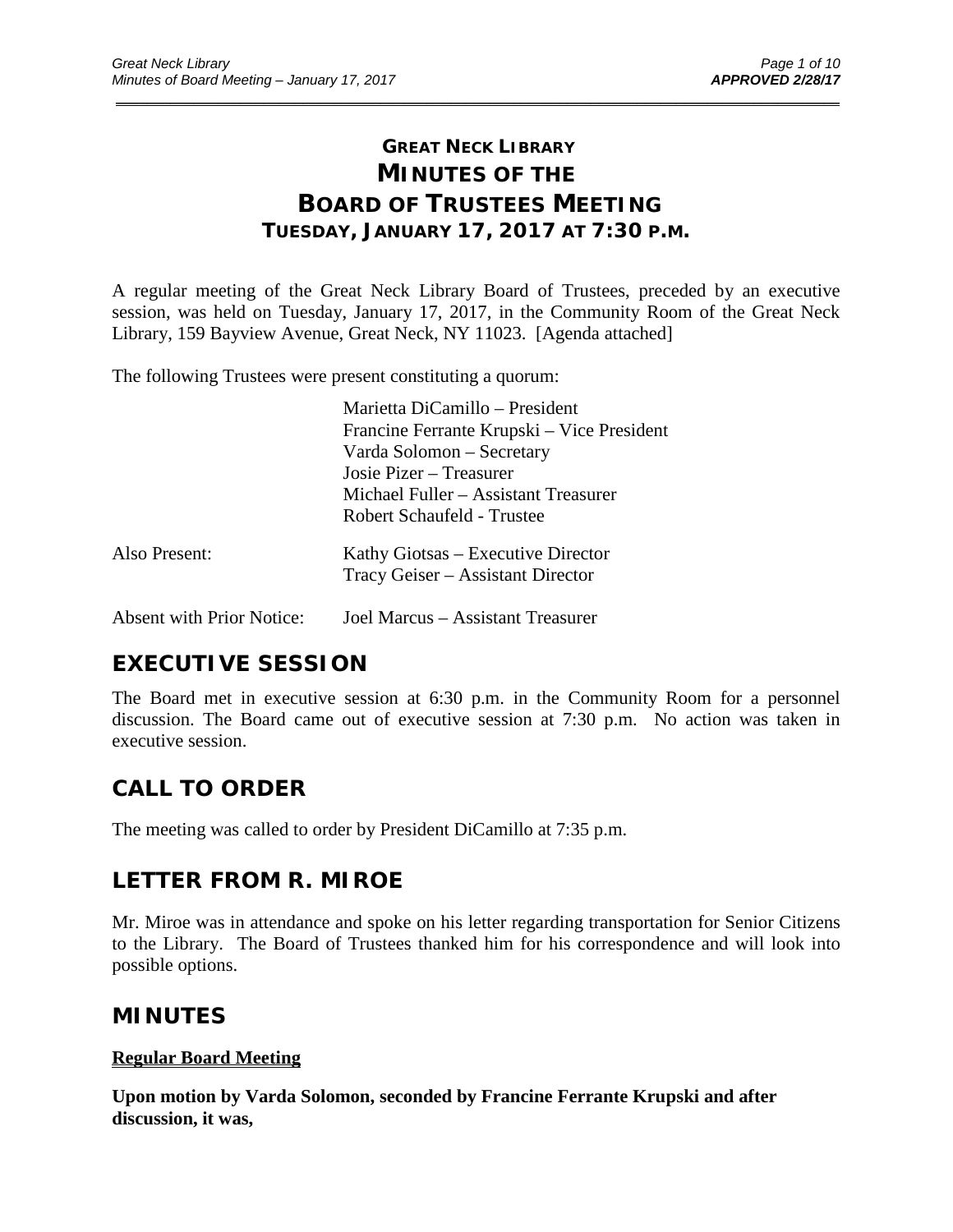# **GREAT NECK LIBRARY MINUTES OF THE BOARD OF TRUSTEES MEETING TUESDAY, JANUARY 17, 2017 AT 7:30 P.M.**

\_\_\_\_\_\_\_\_\_\_\_\_\_\_\_\_\_\_\_\_\_\_\_\_\_\_\_\_\_\_\_\_\_\_\_\_\_\_\_\_\_\_\_\_\_\_\_\_\_\_\_\_\_\_\_\_\_\_\_\_\_\_\_\_\_\_\_\_\_\_\_\_\_\_\_\_\_\_\_\_\_\_\_\_\_\_\_\_\_\_\_\_\_

A regular meeting of the Great Neck Library Board of Trustees, preceded by an executive session, was held on Tuesday, January 17, 2017, in the Community Room of the Great Neck Library, 159 Bayview Avenue, Great Neck, NY 11023. [Agenda attached]

The following Trustees were present constituting a quorum:

|                                  | Marietta DiCamillo - President             |
|----------------------------------|--------------------------------------------|
|                                  | Francine Ferrante Krupski – Vice President |
|                                  | Varda Solomon - Secretary                  |
|                                  | Josie Pizer – Treasurer                    |
|                                  | Michael Fuller – Assistant Treasurer       |
|                                  | Robert Schaufeld - Trustee                 |
| Also Present:                    | Kathy Giotsas – Executive Director         |
|                                  | Tracy Geiser – Assistant Director          |
| <b>Absent with Prior Notice:</b> | Joel Marcus – Assistant Treasurer          |

# **EXECUTIVE SESSION**

The Board met in executive session at 6:30 p.m. in the Community Room for a personnel discussion. The Board came out of executive session at 7:30 p.m. No action was taken in executive session.

# **CALL TO ORDER**

The meeting was called to order by President DiCamillo at 7:35 p.m.

# **LETTER FROM R. MIROE**

Mr. Miroe was in attendance and spoke on his letter regarding transportation for Senior Citizens to the Library. The Board of Trustees thanked him for his correspondence and will look into possible options.

# **MINUTES**

## **Regular Board Meeting**

**Upon motion by Varda Solomon, seconded by Francine Ferrante Krupski and after discussion, it was,**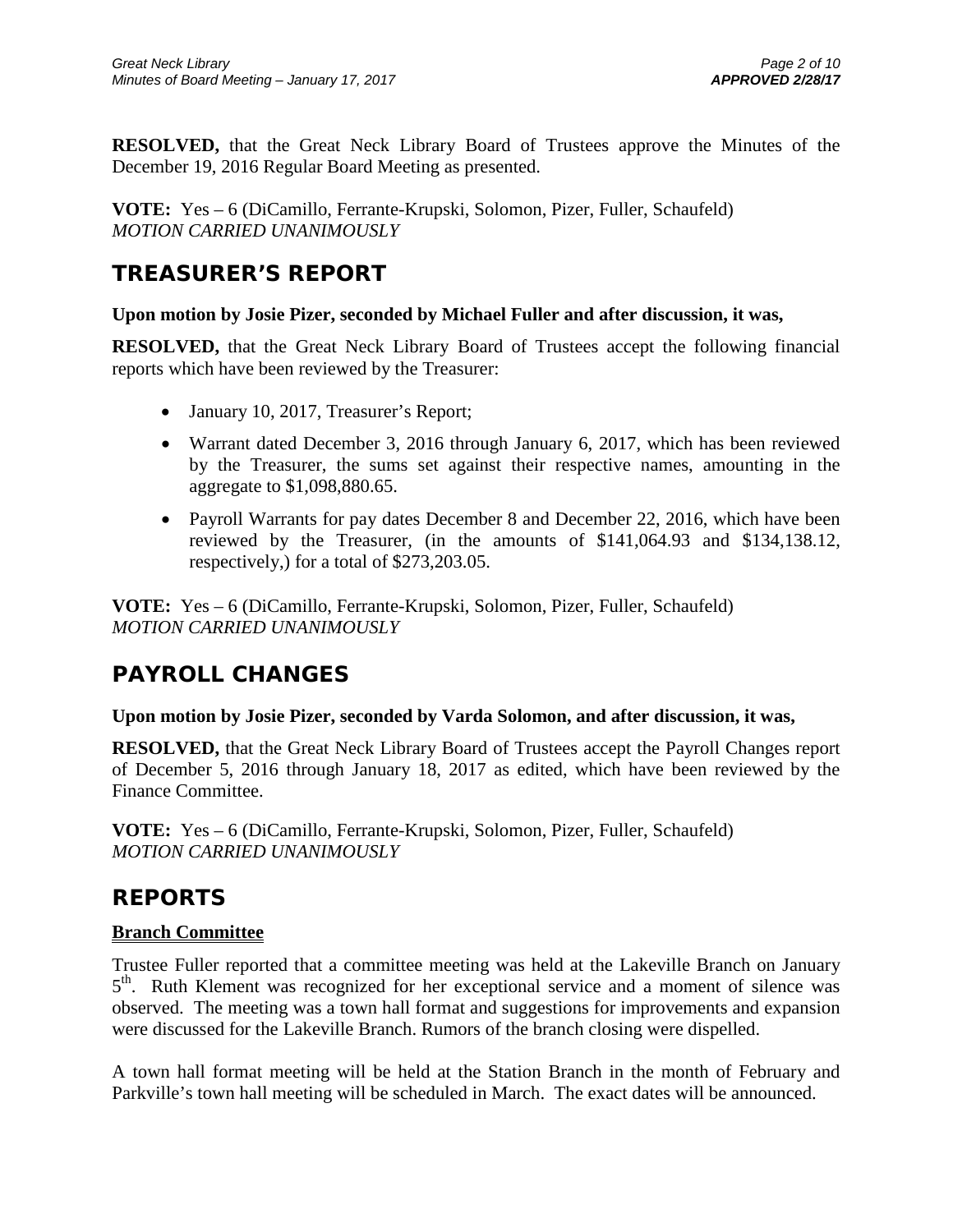**RESOLVED,** that the Great Neck Library Board of Trustees approve the Minutes of the December 19, 2016 Regular Board Meeting as presented.

**VOTE:** Yes – 6 (DiCamillo, Ferrante-Krupski, Solomon, Pizer, Fuller, Schaufeld) *MOTION CARRIED UNANIMOUSLY*

# **TREASURER'S REPORT**

## **Upon motion by Josie Pizer, seconded by Michael Fuller and after discussion, it was,**

**RESOLVED,** that the Great Neck Library Board of Trustees accept the following financial reports which have been reviewed by the Treasurer:

- January 10, 2017, Treasurer's Report;
- Warrant dated December 3, 2016 through January 6, 2017, which has been reviewed by the Treasurer, the sums set against their respective names, amounting in the aggregate to \$1,098,880.65.
- Payroll Warrants for pay dates December 8 and December 22, 2016, which have been reviewed by the Treasurer, (in the amounts of \$141,064.93 and \$134,138.12, respectively,) for a total of \$273,203.05.

**VOTE:** Yes – 6 (DiCamillo, Ferrante-Krupski, Solomon, Pizer, Fuller, Schaufeld) *MOTION CARRIED UNANIMOUSLY*

# **PAYROLL CHANGES**

### **Upon motion by Josie Pizer, seconded by Varda Solomon, and after discussion, it was,**

**RESOLVED,** that the Great Neck Library Board of Trustees accept the Payroll Changes report of December 5, 2016 through January 18, 2017 as edited, which have been reviewed by the Finance Committee.

**VOTE:** Yes – 6 (DiCamillo, Ferrante-Krupski, Solomon, Pizer, Fuller, Schaufeld) *MOTION CARRIED UNANIMOUSLY*

# **REPORTS**

## **Branch Committee**

Trustee Fuller reported that a committee meeting was held at the Lakeville Branch on January 5<sup>th</sup>. Ruth Klement was recognized for her exceptional service and a moment of silence was observed. The meeting was a town hall format and suggestions for improvements and expansion were discussed for the Lakeville Branch. Rumors of the branch closing were dispelled.

A town hall format meeting will be held at the Station Branch in the month of February and Parkville's town hall meeting will be scheduled in March. The exact dates will be announced.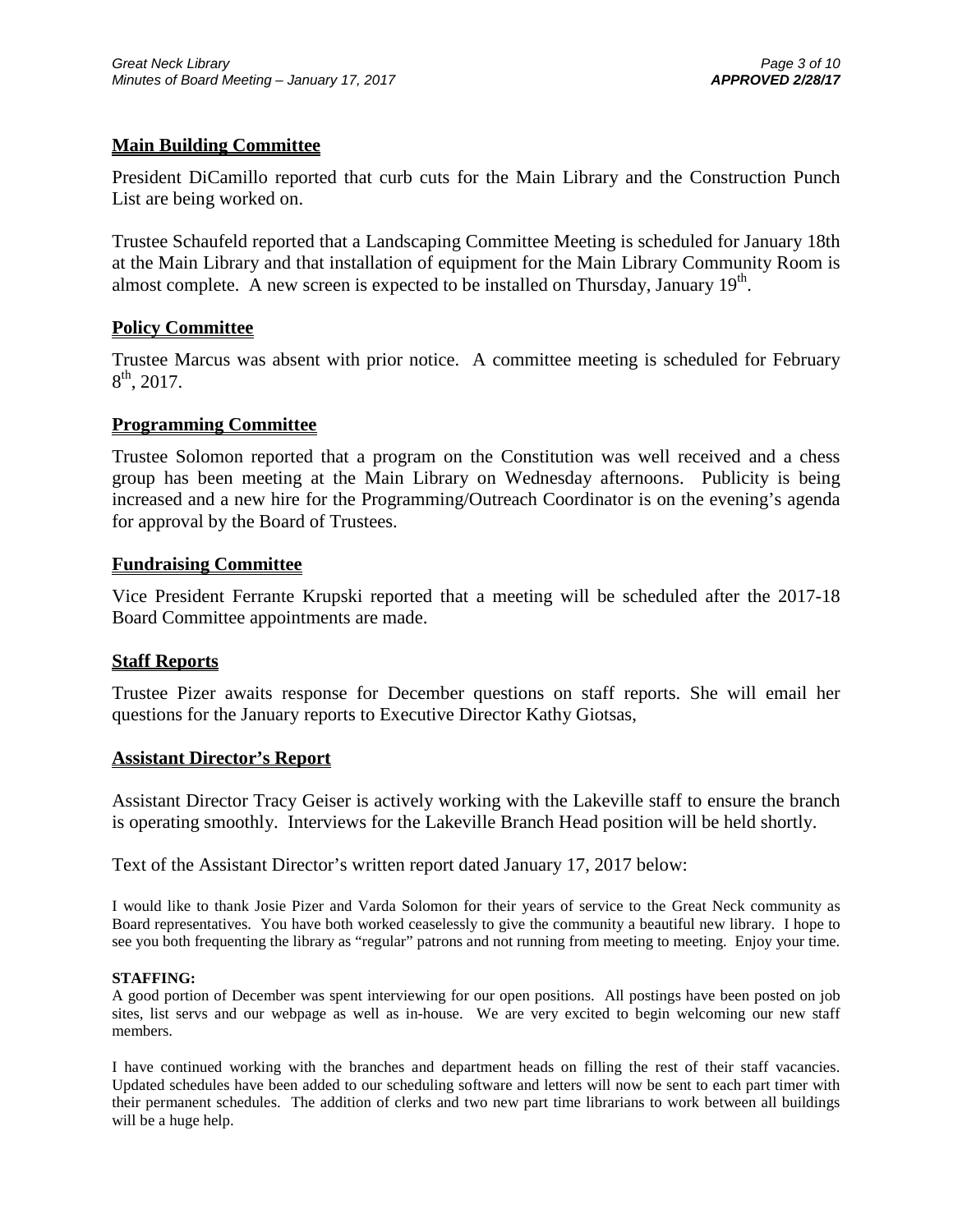### **Main Building Committee**

President DiCamillo reported that curb cuts for the Main Library and the Construction Punch List are being worked on.

Trustee Schaufeld reported that a Landscaping Committee Meeting is scheduled for January 18th at the Main Library and that installation of equipment for the Main Library Community Room is almost complete. A new screen is expected to be installed on Thursday, January  $19<sup>th</sup>$ .

### **Policy Committee**

Trustee Marcus was absent with prior notice. A committee meeting is scheduled for February  $8^{th}$ , 2017.

### **Programming Committee**

Trustee Solomon reported that a program on the Constitution was well received and a chess group has been meeting at the Main Library on Wednesday afternoons. Publicity is being increased and a new hire for the Programming/Outreach Coordinator is on the evening's agenda for approval by the Board of Trustees.

### **Fundraising Committee**

Vice President Ferrante Krupski reported that a meeting will be scheduled after the 2017-18 Board Committee appointments are made.

#### **Staff Reports**

Trustee Pizer awaits response for December questions on staff reports. She will email her questions for the January reports to Executive Director Kathy Giotsas,

#### **Assistant Director's Report**

Assistant Director Tracy Geiser is actively working with the Lakeville staff to ensure the branch is operating smoothly. Interviews for the Lakeville Branch Head position will be held shortly.

Text of the Assistant Director's written report dated January 17, 2017 below:

I would like to thank Josie Pizer and Varda Solomon for their years of service to the Great Neck community as Board representatives. You have both worked ceaselessly to give the community a beautiful new library. I hope to see you both frequenting the library as "regular" patrons and not running from meeting to meeting. Enjoy your time.

#### **STAFFING:**

A good portion of December was spent interviewing for our open positions. All postings have been posted on job sites, list servs and our webpage as well as in-house. We are very excited to begin welcoming our new staff members.

I have continued working with the branches and department heads on filling the rest of their staff vacancies. Updated schedules have been added to our scheduling software and letters will now be sent to each part timer with their permanent schedules. The addition of clerks and two new part time librarians to work between all buildings will be a huge help.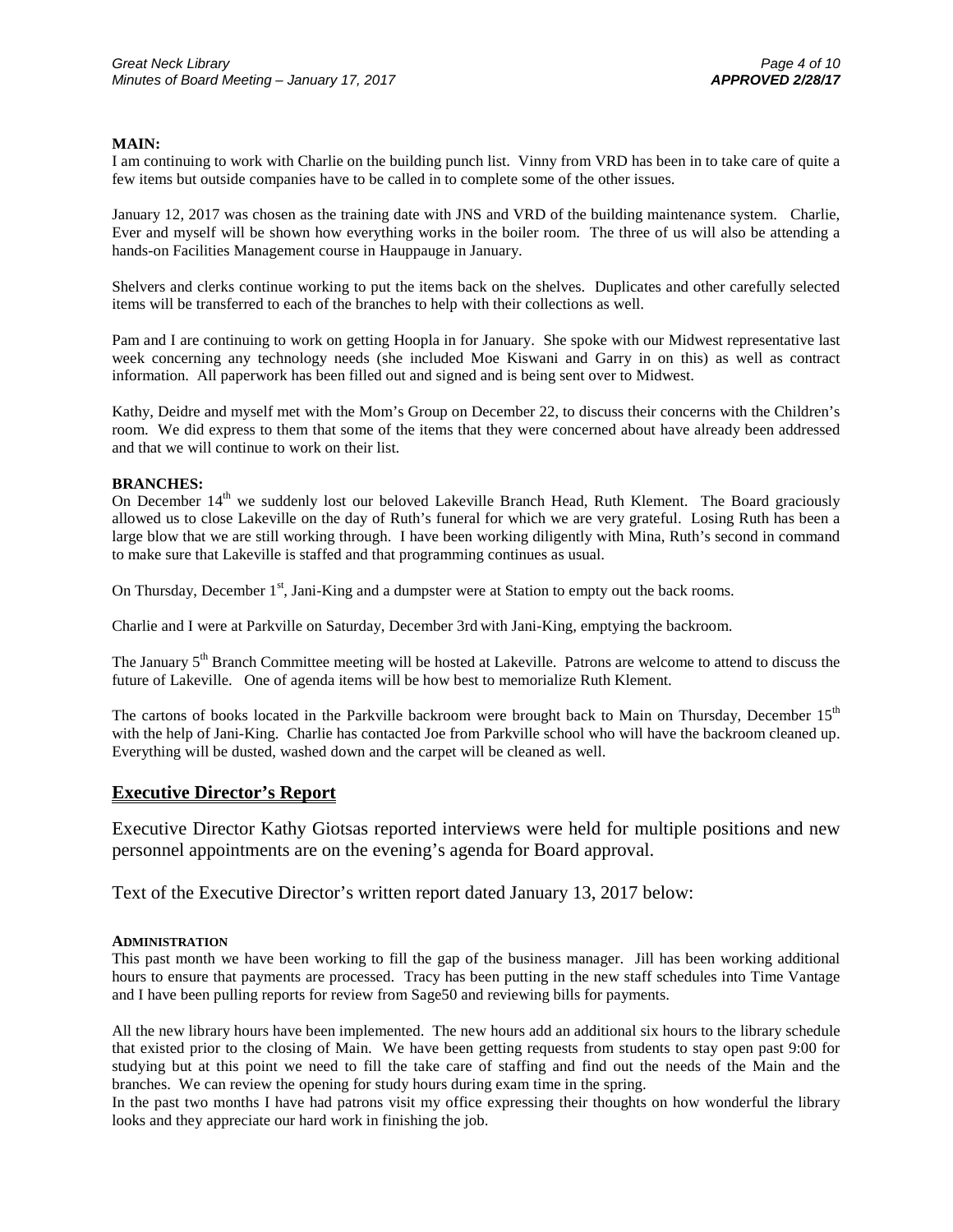#### **MAIN:**

I am continuing to work with Charlie on the building punch list. Vinny from VRD has been in to take care of quite a few items but outside companies have to be called in to complete some of the other issues.

January 12, 2017 was chosen as the training date with JNS and VRD of the building maintenance system. Charlie, Ever and myself will be shown how everything works in the boiler room. The three of us will also be attending a hands-on Facilities Management course in Hauppauge in January.

Shelvers and clerks continue working to put the items back on the shelves. Duplicates and other carefully selected items will be transferred to each of the branches to help with their collections as well.

Pam and I are continuing to work on getting Hoopla in for January. She spoke with our Midwest representative last week concerning any technology needs (she included Moe Kiswani and Garry in on this) as well as contract information. All paperwork has been filled out and signed and is being sent over to Midwest.

Kathy, Deidre and myself met with the Mom's Group on December 22, to discuss their concerns with the Children's room. We did express to them that some of the items that they were concerned about have already been addressed and that we will continue to work on their list.

#### **BRANCHES:**

On December 14<sup>th</sup> we suddenly lost our beloved Lakeville Branch Head, Ruth Klement. The Board graciously allowed us to close Lakeville on the day of Ruth's funeral for which we are very grateful. Losing Ruth has been a large blow that we are still working through. I have been working diligently with Mina, Ruth's second in command to make sure that Lakeville is staffed and that programming continues as usual.

On Thursday, December 1<sup>st</sup>, Jani-King and a dumpster were at Station to empty out the back rooms.

Charlie and I were at Parkville on Saturday, December 3rd with Jani-King, emptying the backroom.

The January 5<sup>th</sup> Branch Committee meeting will be hosted at Lakeville. Patrons are welcome to attend to discuss the future of Lakeville. One of agenda items will be how best to memorialize Ruth Klement.

The cartons of books located in the Parkville backroom were brought back to Main on Thursday, December 15<sup>th</sup> with the help of Jani-King. Charlie has contacted Joe from Parkville school who will have the backroom cleaned up. Everything will be dusted, washed down and the carpet will be cleaned as well.

#### **Executive Director's Report**

Executive Director Kathy Giotsas reported interviews were held for multiple positions and new personnel appointments are on the evening's agenda for Board approval.

Text of the Executive Director's written report dated January 13, 2017 below:

#### **ADMINISTRATION**

This past month we have been working to fill the gap of the business manager. Jill has been working additional hours to ensure that payments are processed. Tracy has been putting in the new staff schedules into Time Vantage and I have been pulling reports for review from Sage50 and reviewing bills for payments.

All the new library hours have been implemented. The new hours add an additional six hours to the library schedule that existed prior to the closing of Main. We have been getting requests from students to stay open past 9:00 for studying but at this point we need to fill the take care of staffing and find out the needs of the Main and the branches. We can review the opening for study hours during exam time in the spring.

In the past two months I have had patrons visit my office expressing their thoughts on how wonderful the library looks and they appreciate our hard work in finishing the job.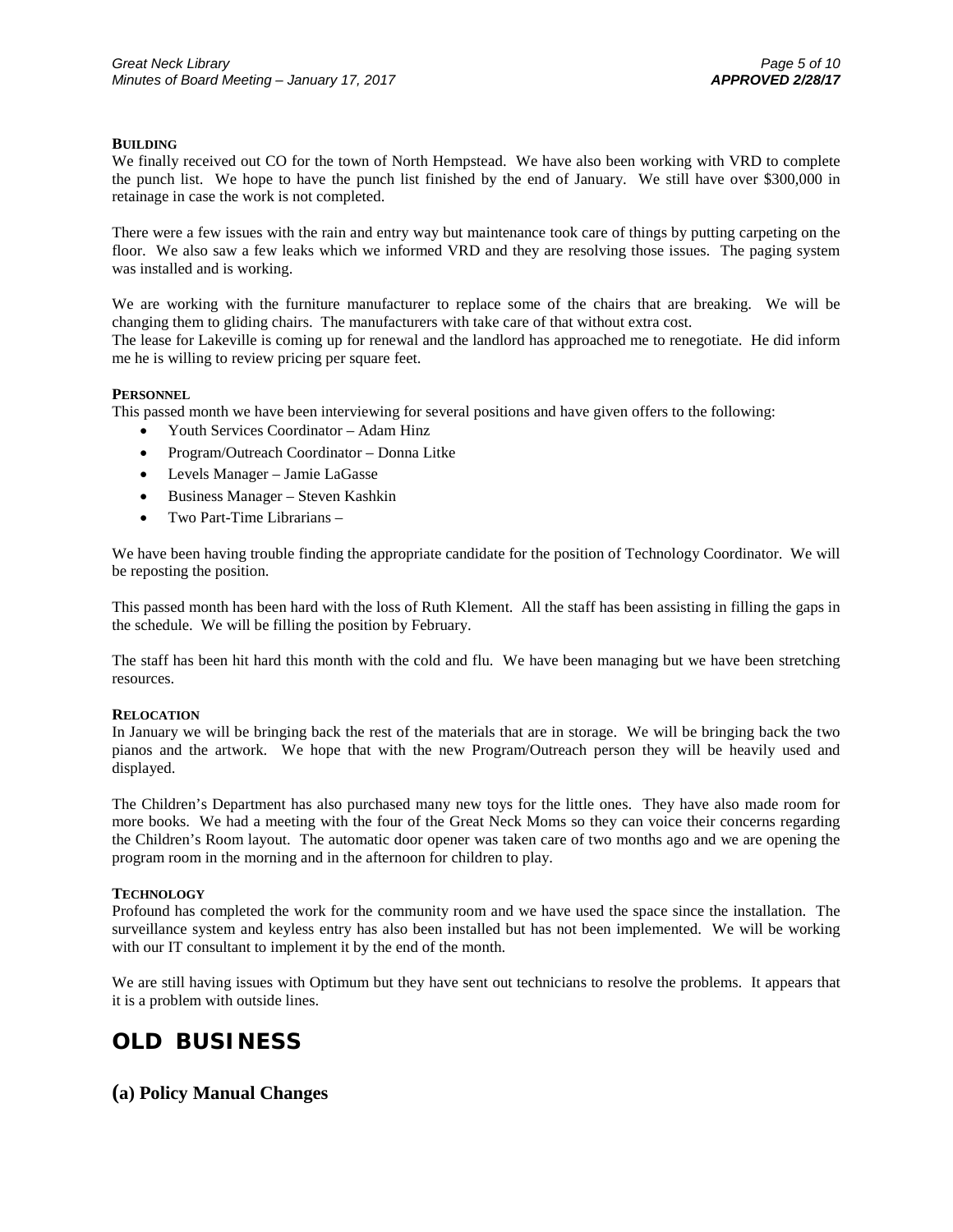#### **BUILDING**

We finally received out CO for the town of North Hempstead. We have also been working with VRD to complete the punch list. We hope to have the punch list finished by the end of January. We still have over \$300,000 in retainage in case the work is not completed.

There were a few issues with the rain and entry way but maintenance took care of things by putting carpeting on the floor. We also saw a few leaks which we informed VRD and they are resolving those issues. The paging system was installed and is working.

We are working with the furniture manufacturer to replace some of the chairs that are breaking. We will be changing them to gliding chairs. The manufacturers with take care of that without extra cost.

The lease for Lakeville is coming up for renewal and the landlord has approached me to renegotiate. He did inform me he is willing to review pricing per square feet.

#### **PERSONNEL**

This passed month we have been interviewing for several positions and have given offers to the following:

- Youth Services Coordinator Adam Hinz
- Program/Outreach Coordinator Donna Litke
- Levels Manager Jamie LaGasse
- Business Manager Steven Kashkin
- Two Part-Time Librarians –

We have been having trouble finding the appropriate candidate for the position of Technology Coordinator. We will be reposting the position.

This passed month has been hard with the loss of Ruth Klement. All the staff has been assisting in filling the gaps in the schedule. We will be filling the position by February.

The staff has been hit hard this month with the cold and flu. We have been managing but we have been stretching resources.

#### **RELOCATION**

In January we will be bringing back the rest of the materials that are in storage. We will be bringing back the two pianos and the artwork. We hope that with the new Program/Outreach person they will be heavily used and displayed.

The Children's Department has also purchased many new toys for the little ones. They have also made room for more books. We had a meeting with the four of the Great Neck Moms so they can voice their concerns regarding the Children's Room layout. The automatic door opener was taken care of two months ago and we are opening the program room in the morning and in the afternoon for children to play.

#### **TECHNOLOGY**

Profound has completed the work for the community room and we have used the space since the installation. The surveillance system and keyless entry has also been installed but has not been implemented. We will be working with our IT consultant to implement it by the end of the month.

We are still having issues with Optimum but they have sent out technicians to resolve the problems. It appears that it is a problem with outside lines.

# **OLD BUSINESS**

#### **(a) Policy Manual Changes**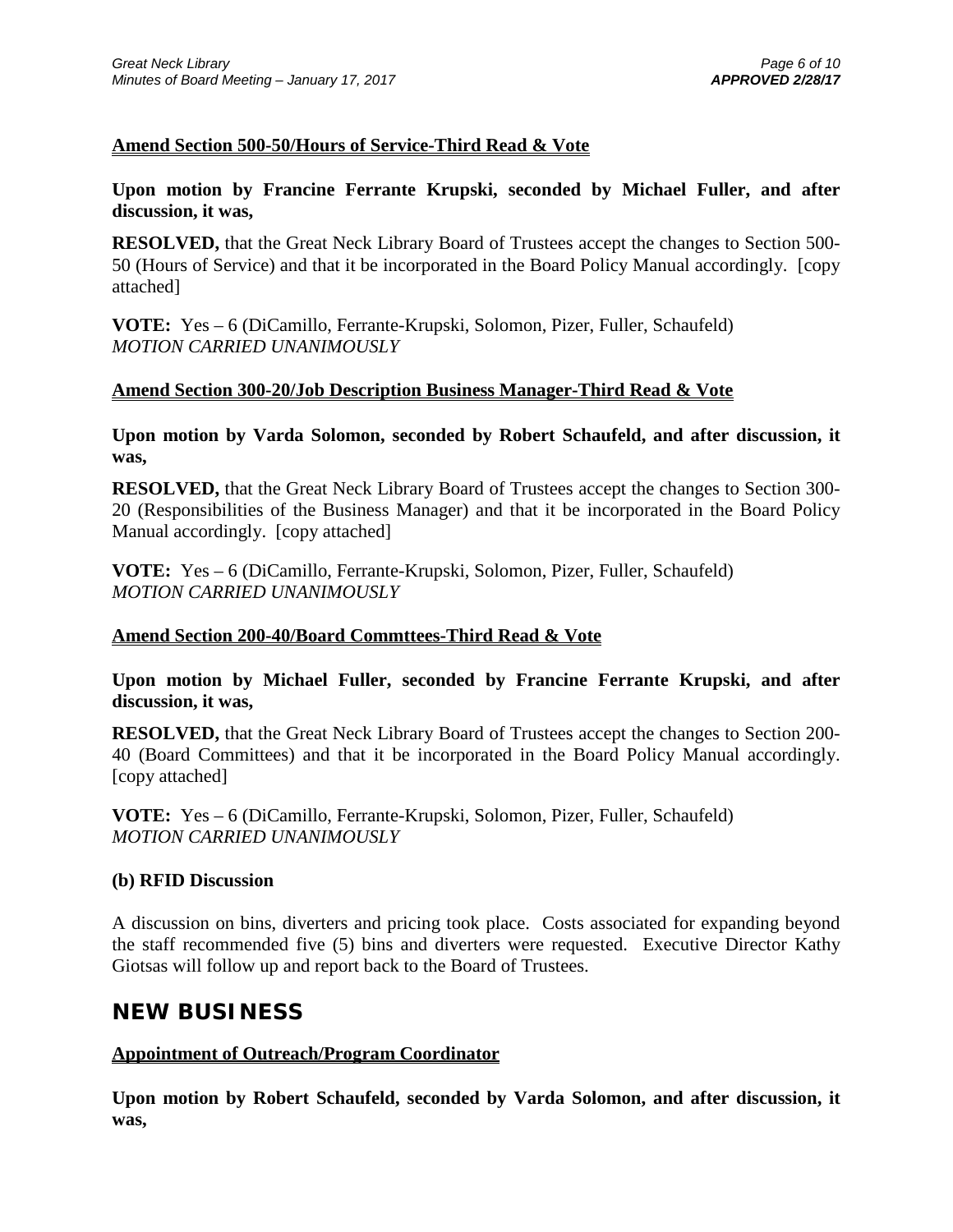## **Amend Section 500-50/Hours of Service-Third Read & Vote**

## **Upon motion by Francine Ferrante Krupski, seconded by Michael Fuller, and after discussion, it was,**

**RESOLVED,** that the Great Neck Library Board of Trustees accept the changes to Section 500- 50 (Hours of Service) and that it be incorporated in the Board Policy Manual accordingly. [copy attached]

**VOTE:** Yes – 6 (DiCamillo, Ferrante-Krupski, Solomon, Pizer, Fuller, Schaufeld) *MOTION CARRIED UNANIMOUSLY*

### **Amend Section 300-20/Job Description Business Manager-Third Read & Vote**

**Upon motion by Varda Solomon, seconded by Robert Schaufeld, and after discussion, it was,**

**RESOLVED,** that the Great Neck Library Board of Trustees accept the changes to Section 300- 20 (Responsibilities of the Business Manager) and that it be incorporated in the Board Policy Manual accordingly. [copy attached]

**VOTE:** Yes – 6 (DiCamillo, Ferrante-Krupski, Solomon, Pizer, Fuller, Schaufeld) *MOTION CARRIED UNANIMOUSLY*

### **Amend Section 200-40/Board Commttees-Third Read & Vote**

**Upon motion by Michael Fuller, seconded by Francine Ferrante Krupski, and after discussion, it was,**

**RESOLVED,** that the Great Neck Library Board of Trustees accept the changes to Section 200- 40 (Board Committees) and that it be incorporated in the Board Policy Manual accordingly. [copy attached]

**VOTE:** Yes – 6 (DiCamillo, Ferrante-Krupski, Solomon, Pizer, Fuller, Schaufeld) *MOTION CARRIED UNANIMOUSLY*

### **(b) RFID Discussion**

A discussion on bins, diverters and pricing took place. Costs associated for expanding beyond the staff recommended five (5) bins and diverters were requested. Executive Director Kathy Giotsas will follow up and report back to the Board of Trustees.

# **NEW BUSINESS**

## **Appointment of Outreach/Program Coordinator**

**Upon motion by Robert Schaufeld, seconded by Varda Solomon, and after discussion, it was,**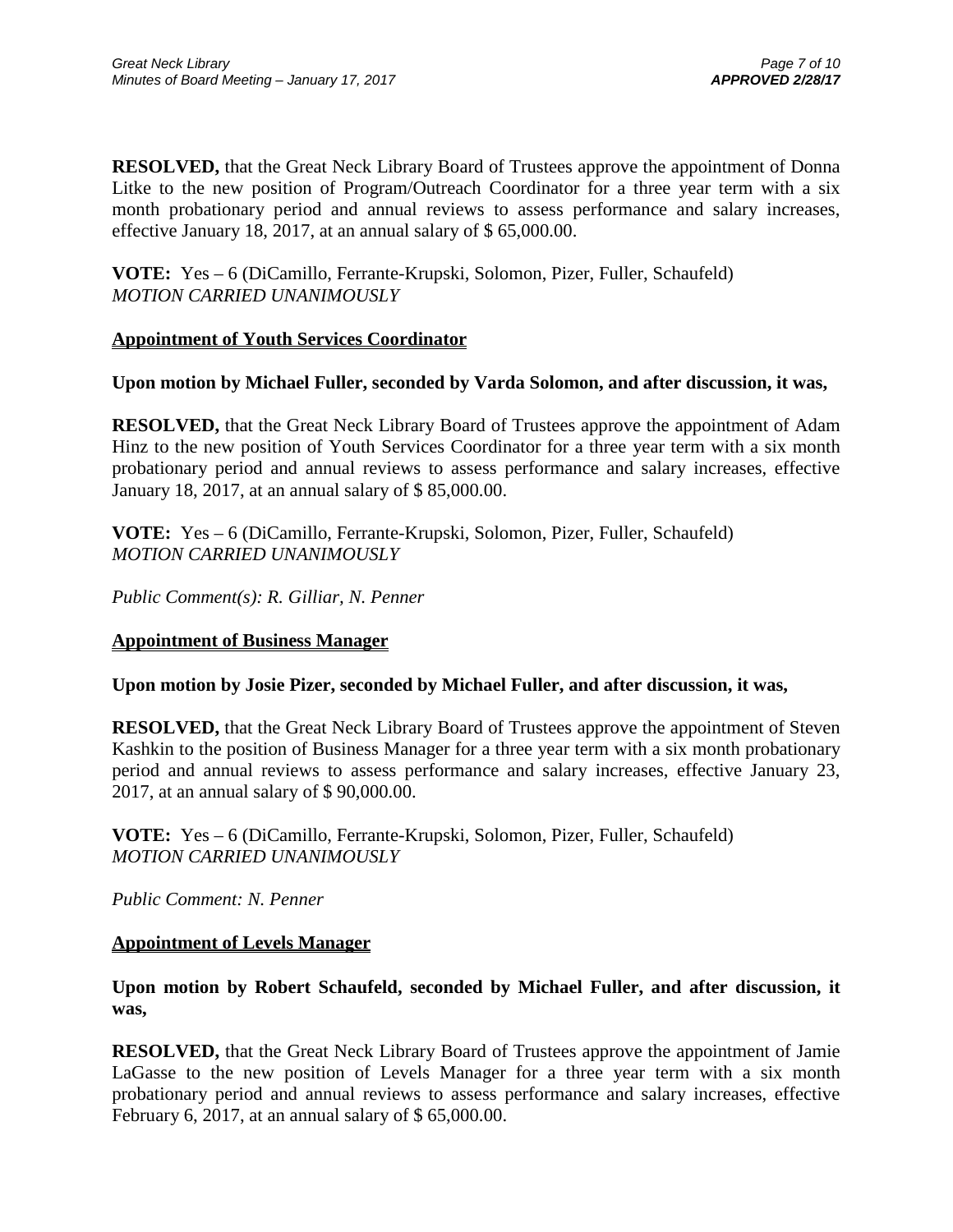**RESOLVED,** that the Great Neck Library Board of Trustees approve the appointment of Donna Litke to the new position of Program/Outreach Coordinator for a three year term with a six month probationary period and annual reviews to assess performance and salary increases, effective January 18, 2017, at an annual salary of \$ 65,000.00.

**VOTE:** Yes – 6 (DiCamillo, Ferrante-Krupski, Solomon, Pizer, Fuller, Schaufeld) *MOTION CARRIED UNANIMOUSLY* 

### **Appointment of Youth Services Coordinator**

### **Upon motion by Michael Fuller, seconded by Varda Solomon, and after discussion, it was,**

**RESOLVED,** that the Great Neck Library Board of Trustees approve the appointment of Adam Hinz to the new position of Youth Services Coordinator for a three year term with a six month probationary period and annual reviews to assess performance and salary increases, effective January 18, 2017, at an annual salary of \$ 85,000.00.

**VOTE:** Yes – 6 (DiCamillo, Ferrante-Krupski, Solomon, Pizer, Fuller, Schaufeld) *MOTION CARRIED UNANIMOUSLY*

*Public Comment(s): R. Gilliar, N. Penner*

#### **Appointment of Business Manager**

#### **Upon motion by Josie Pizer, seconded by Michael Fuller, and after discussion, it was,**

**RESOLVED,** that the Great Neck Library Board of Trustees approve the appointment of Steven Kashkin to the position of Business Manager for a three year term with a six month probationary period and annual reviews to assess performance and salary increases, effective January 23, 2017, at an annual salary of \$ 90,000.00.

**VOTE:** Yes – 6 (DiCamillo, Ferrante-Krupski, Solomon, Pizer, Fuller, Schaufeld) *MOTION CARRIED UNANIMOUSLY*

*Public Comment: N. Penner*

#### **Appointment of Levels Manager**

**Upon motion by Robert Schaufeld, seconded by Michael Fuller, and after discussion, it was,**

**RESOLVED,** that the Great Neck Library Board of Trustees approve the appointment of Jamie LaGasse to the new position of Levels Manager for a three year term with a six month probationary period and annual reviews to assess performance and salary increases, effective February 6, 2017, at an annual salary of \$ 65,000.00.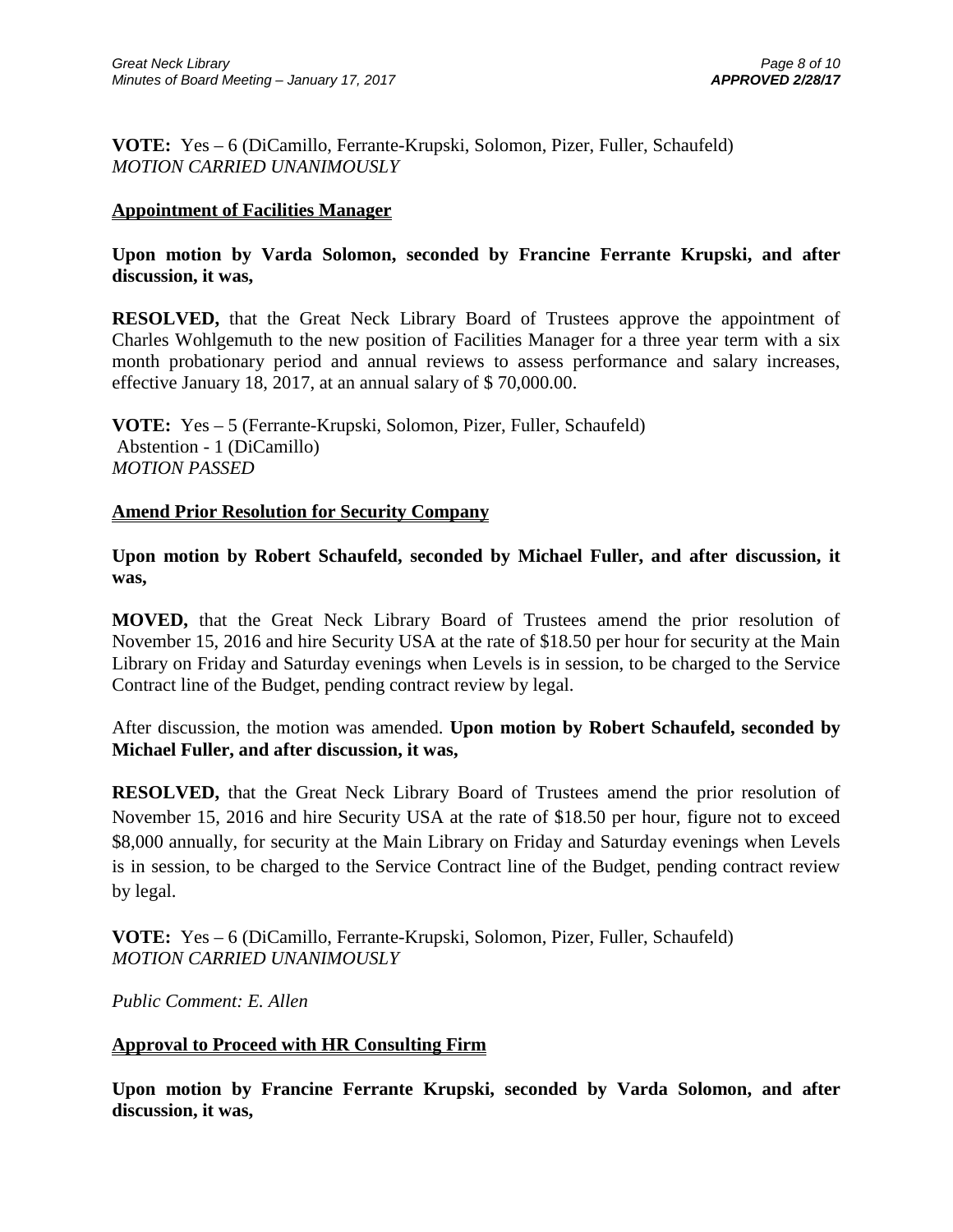**VOTE:** Yes – 6 (DiCamillo, Ferrante-Krupski, Solomon, Pizer, Fuller, Schaufeld) *MOTION CARRIED UNANIMOUSLY*

## **Appointment of Facilities Manager**

## **Upon motion by Varda Solomon, seconded by Francine Ferrante Krupski, and after discussion, it was,**

**RESOLVED,** that the Great Neck Library Board of Trustees approve the appointment of Charles Wohlgemuth to the new position of Facilities Manager for a three year term with a six month probationary period and annual reviews to assess performance and salary increases, effective January 18, 2017, at an annual salary of \$ 70,000.00.

**VOTE:** Yes – 5 (Ferrante-Krupski, Solomon, Pizer, Fuller, Schaufeld) Abstention - 1 (DiCamillo) *MOTION PASSED*

### **Amend Prior Resolution for Security Company**

## **Upon motion by Robert Schaufeld, seconded by Michael Fuller, and after discussion, it was,**

**MOVED,** that the Great Neck Library Board of Trustees amend the prior resolution of November 15, 2016 and hire Security USA at the rate of \$18.50 per hour for security at the Main Library on Friday and Saturday evenings when Levels is in session, to be charged to the Service Contract line of the Budget, pending contract review by legal.

After discussion, the motion was amended. **Upon motion by Robert Schaufeld, seconded by Michael Fuller, and after discussion, it was,**

**RESOLVED,** that the Great Neck Library Board of Trustees amend the prior resolution of November 15, 2016 and hire Security USA at the rate of \$18.50 per hour, figure not to exceed \$8,000 annually, for security at the Main Library on Friday and Saturday evenings when Levels is in session, to be charged to the Service Contract line of the Budget, pending contract review by legal.

**VOTE:** Yes – 6 (DiCamillo, Ferrante-Krupski, Solomon, Pizer, Fuller, Schaufeld) *MOTION CARRIED UNANIMOUSLY*

*Public Comment: E. Allen*

## **Approval to Proceed with HR Consulting Firm**

**Upon motion by Francine Ferrante Krupski, seconded by Varda Solomon, and after discussion, it was,**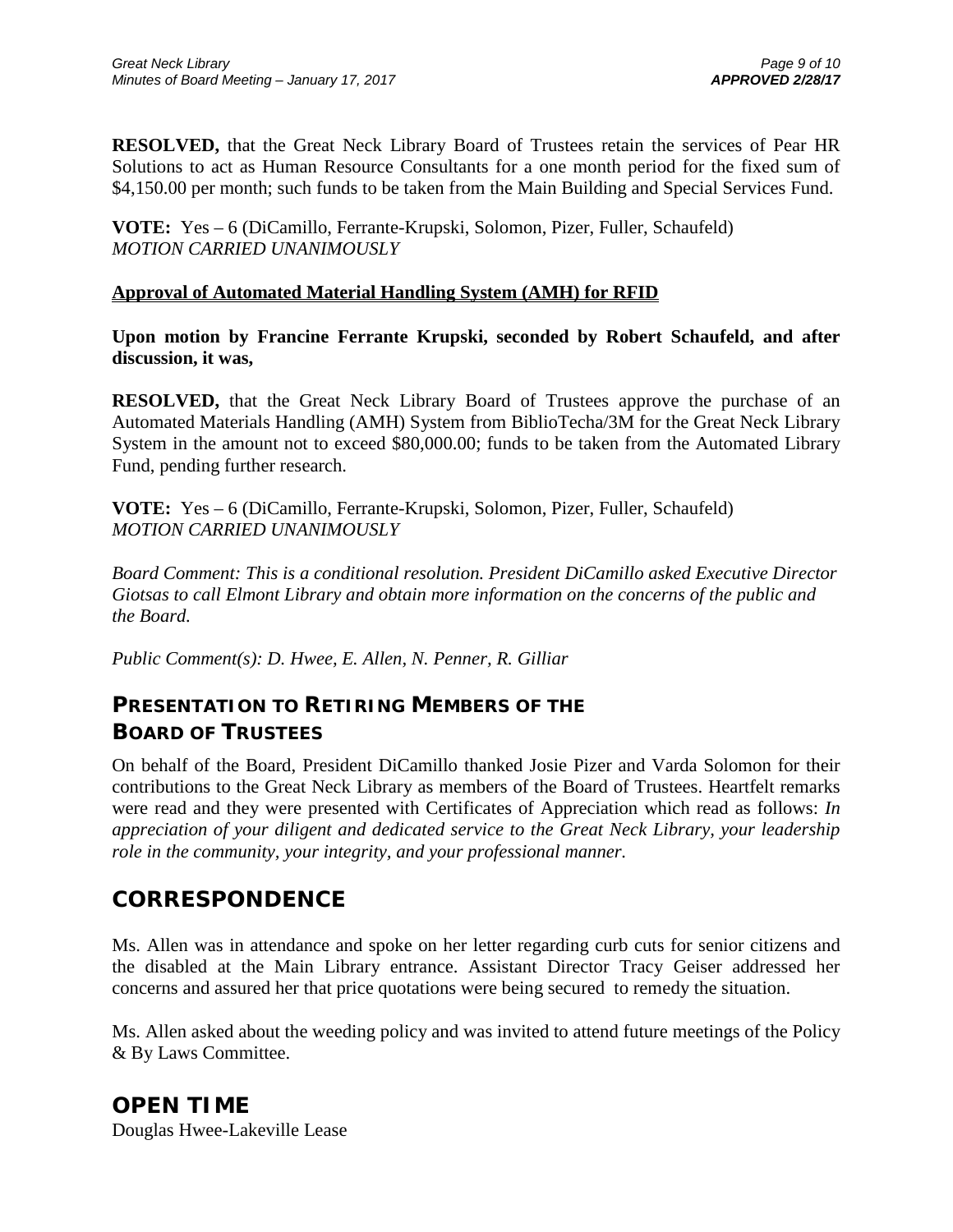**RESOLVED,** that the Great Neck Library Board of Trustees retain the services of Pear HR Solutions to act as Human Resource Consultants for a one month period for the fixed sum of \$4,150.00 per month; such funds to be taken from the Main Building and Special Services Fund.

**VOTE:** Yes – 6 (DiCamillo, Ferrante-Krupski, Solomon, Pizer, Fuller, Schaufeld) *MOTION CARRIED UNANIMOUSLY*

### **Approval of Automated Material Handling System (AMH) for RFID**

**Upon motion by Francine Ferrante Krupski, seconded by Robert Schaufeld, and after discussion, it was,**

**RESOLVED,** that the Great Neck Library Board of Trustees approve the purchase of an Automated Materials Handling (AMH) System from BiblioTecha/3M for the Great Neck Library System in the amount not to exceed \$80,000.00; funds to be taken from the Automated Library Fund, pending further research.

**VOTE:** Yes – 6 (DiCamillo, Ferrante-Krupski, Solomon, Pizer, Fuller, Schaufeld) *MOTION CARRIED UNANIMOUSLY*

*Board Comment: This is a conditional resolution. President DiCamillo asked Executive Director Giotsas to call Elmont Library and obtain more information on the concerns of the public and the Board.*

*Public Comment(s): D. Hwee, E. Allen, N. Penner, R. Gilliar*

# **PRESENTATION TO RETIRING MEMBERS OF THE BOARD OF TRUSTEES**

On behalf of the Board, President DiCamillo thanked Josie Pizer and Varda Solomon for their contributions to the Great Neck Library as members of the Board of Trustees. Heartfelt remarks were read and they were presented with Certificates of Appreciation which read as follows: *In appreciation of your diligent and dedicated service to the Great Neck Library, your leadership role in the community, your integrity, and your professional manner.*

# **CORRESPONDENCE**

Ms. Allen was in attendance and spoke on her letter regarding curb cuts for senior citizens and the disabled at the Main Library entrance. Assistant Director Tracy Geiser addressed her concerns and assured her that price quotations were being secured to remedy the situation.

Ms. Allen asked about the weeding policy and was invited to attend future meetings of the Policy & By Laws Committee.

# **OPEN TIME**

Douglas Hwee-Lakeville Lease